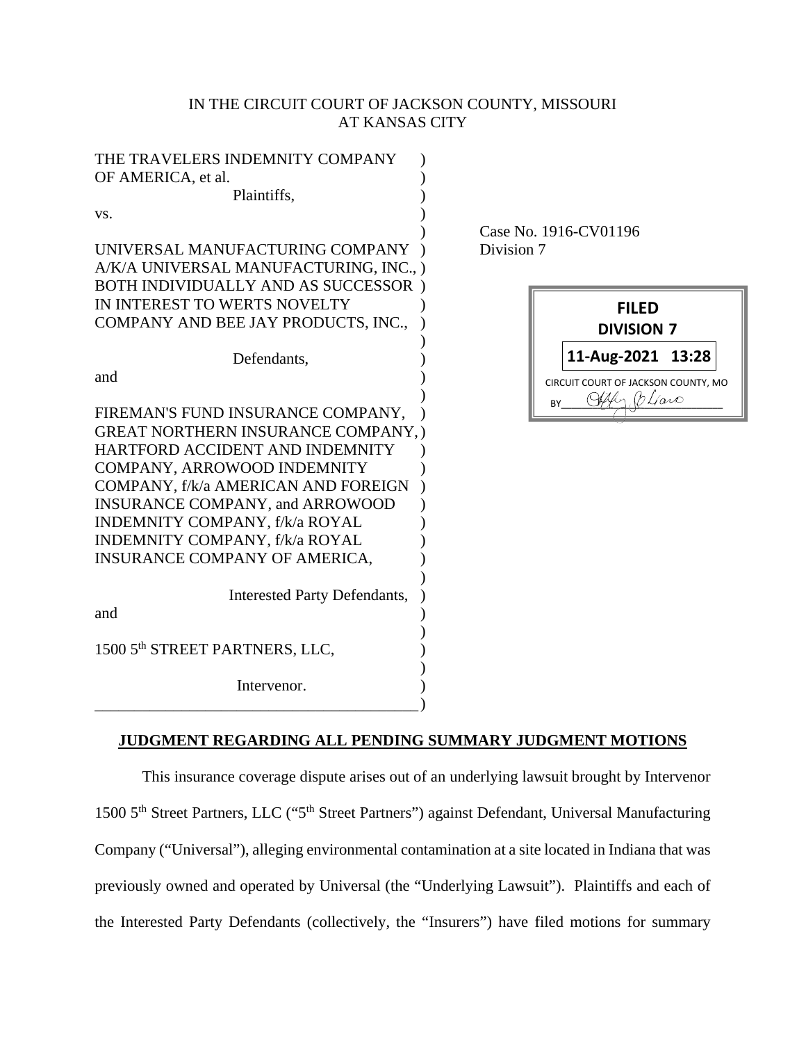# IN THE CIRCUIT COURT OF JACKSON COUNTY, MISSOURI AT KANSAS CITY

| Intervenor.                                                                  |  |
|------------------------------------------------------------------------------|--|
|                                                                              |  |
|                                                                              |  |
| 1500 5th STREET PARTNERS, LLC,                                               |  |
| and                                                                          |  |
| <b>Interested Party Defendants,</b>                                          |  |
|                                                                              |  |
| INSURANCE COMPANY OF AMERICA,                                                |  |
| INDEMNITY COMPANY, f/k/a ROYAL                                               |  |
| INDEMNITY COMPANY, f/k/a ROYAL                                               |  |
| INSURANCE COMPANY, and ARROWOOD                                              |  |
| COMPANY, f/k/a AMERICAN AND FOREIGN                                          |  |
| COMPANY, ARROWOOD INDEMNITY                                                  |  |
| HARTFORD ACCIDENT AND INDEMNITY                                              |  |
| <b>GREAT NORTHERN INSURANCE COMPANY, )</b>                                   |  |
| FIREMAN'S FUND INSURANCE COMPANY,                                            |  |
|                                                                              |  |
| and                                                                          |  |
| Defendants,                                                                  |  |
|                                                                              |  |
| COMPANY AND BEE JAY PRODUCTS, INC.,                                          |  |
| IN INTEREST TO WERTS NOVELTY                                                 |  |
| A/K/A UNIVERSAL MANUFACTURING, INC., )<br>BOTH INDIVIDUALLY AND AS SUCCESSOR |  |
| UNIVERSAL MANUFACTURING COMPANY                                              |  |
|                                                                              |  |
| VS.                                                                          |  |
| Plaintiffs,                                                                  |  |
| OF AMERICA, et al.                                                           |  |
| THE TRAVELERS INDEMNITY COMPANY                                              |  |

 Case No. 1916-CV01196 Division 7

|    | FILED<br><b>DIVISION 7</b>                |
|----|-------------------------------------------|
|    | 11-Aug-2021 13:28                         |
| R٧ | CIRCUIT COURT OF JACKSON COUNTY, MO<br>aw |

# **JUDGMENT REGARDING ALL PENDING SUMMARY JUDGMENT MOTIONS**

This insurance coverage dispute arises out of an underlying lawsuit brought by Intervenor 1500 5th Street Partners, LLC ("5th Street Partners") against Defendant, Universal Manufacturing Company ("Universal"), alleging environmental contamination at a site located in Indiana that was previously owned and operated by Universal (the "Underlying Lawsuit"). Plaintiffs and each of the Interested Party Defendants (collectively, the "Insurers") have filed motions for summary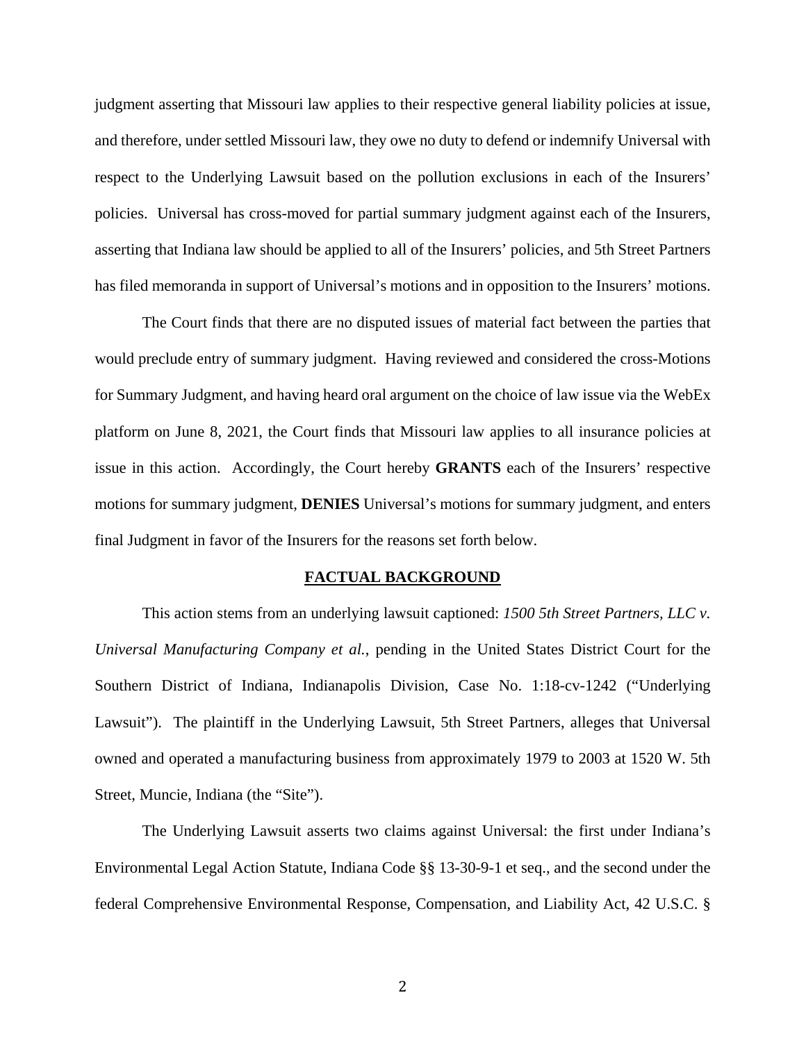judgment asserting that Missouri law applies to their respective general liability policies at issue, and therefore, under settled Missouri law, they owe no duty to defend or indemnify Universal with respect to the Underlying Lawsuit based on the pollution exclusions in each of the Insurers' policies. Universal has cross-moved for partial summary judgment against each of the Insurers, asserting that Indiana law should be applied to all of the Insurers' policies, and 5th Street Partners has filed memoranda in support of Universal's motions and in opposition to the Insurers' motions.

The Court finds that there are no disputed issues of material fact between the parties that would preclude entry of summary judgment. Having reviewed and considered the cross-Motions for Summary Judgment, and having heard oral argument on the choice of law issue via the WebEx platform on June 8, 2021, the Court finds that Missouri law applies to all insurance policies at issue in this action. Accordingly, the Court hereby **GRANTS** each of the Insurers' respective motions for summary judgment, **DENIES** Universal's motions for summary judgment, and enters final Judgment in favor of the Insurers for the reasons set forth below.

### **FACTUAL BACKGROUND**

 This action stems from an underlying lawsuit captioned: *1500 5th Street Partners, LLC v. Universal Manufacturing Company et al.*, pending in the United States District Court for the Southern District of Indiana, Indianapolis Division, Case No. 1:18-cv-1242 ("Underlying Lawsuit"). The plaintiff in the Underlying Lawsuit, 5th Street Partners, alleges that Universal owned and operated a manufacturing business from approximately 1979 to 2003 at 1520 W. 5th Street, Muncie, Indiana (the "Site").

The Underlying Lawsuit asserts two claims against Universal: the first under Indiana's Environmental Legal Action Statute, Indiana Code §§ 13-30-9-1 et seq., and the second under the federal Comprehensive Environmental Response, Compensation, and Liability Act, 42 U.S.C. §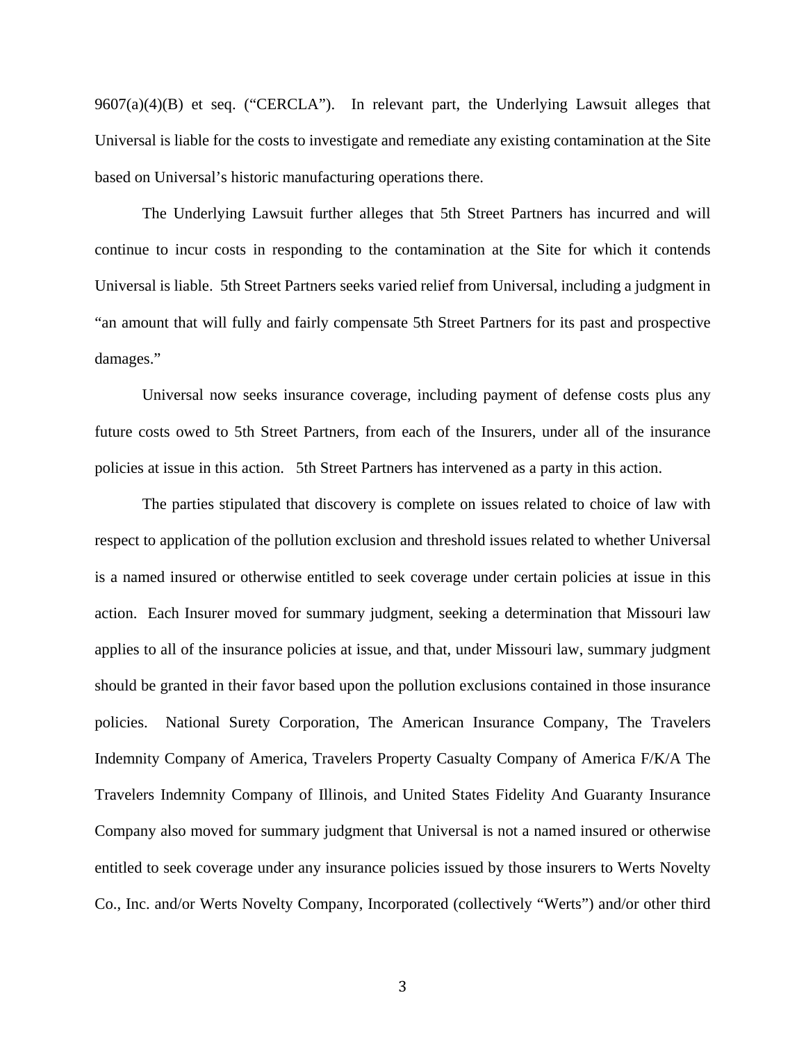9607(a)(4)(B) et seq. ("CERCLA"). In relevant part, the Underlying Lawsuit alleges that Universal is liable for the costs to investigate and remediate any existing contamination at the Site based on Universal's historic manufacturing operations there.

The Underlying Lawsuit further alleges that 5th Street Partners has incurred and will continue to incur costs in responding to the contamination at the Site for which it contends Universal is liable. 5th Street Partners seeks varied relief from Universal, including a judgment in "an amount that will fully and fairly compensate 5th Street Partners for its past and prospective damages."

Universal now seeks insurance coverage, including payment of defense costs plus any future costs owed to 5th Street Partners, from each of the Insurers, under all of the insurance policies at issue in this action. 5th Street Partners has intervened as a party in this action.

The parties stipulated that discovery is complete on issues related to choice of law with respect to application of the pollution exclusion and threshold issues related to whether Universal is a named insured or otherwise entitled to seek coverage under certain policies at issue in this action. Each Insurer moved for summary judgment, seeking a determination that Missouri law applies to all of the insurance policies at issue, and that, under Missouri law, summary judgment should be granted in their favor based upon the pollution exclusions contained in those insurance policies. National Surety Corporation, The American Insurance Company, The Travelers Indemnity Company of America, Travelers Property Casualty Company of America F/K/A The Travelers Indemnity Company of Illinois, and United States Fidelity And Guaranty Insurance Company also moved for summary judgment that Universal is not a named insured or otherwise entitled to seek coverage under any insurance policies issued by those insurers to Werts Novelty Co., Inc. and/or Werts Novelty Company, Incorporated (collectively "Werts") and/or other third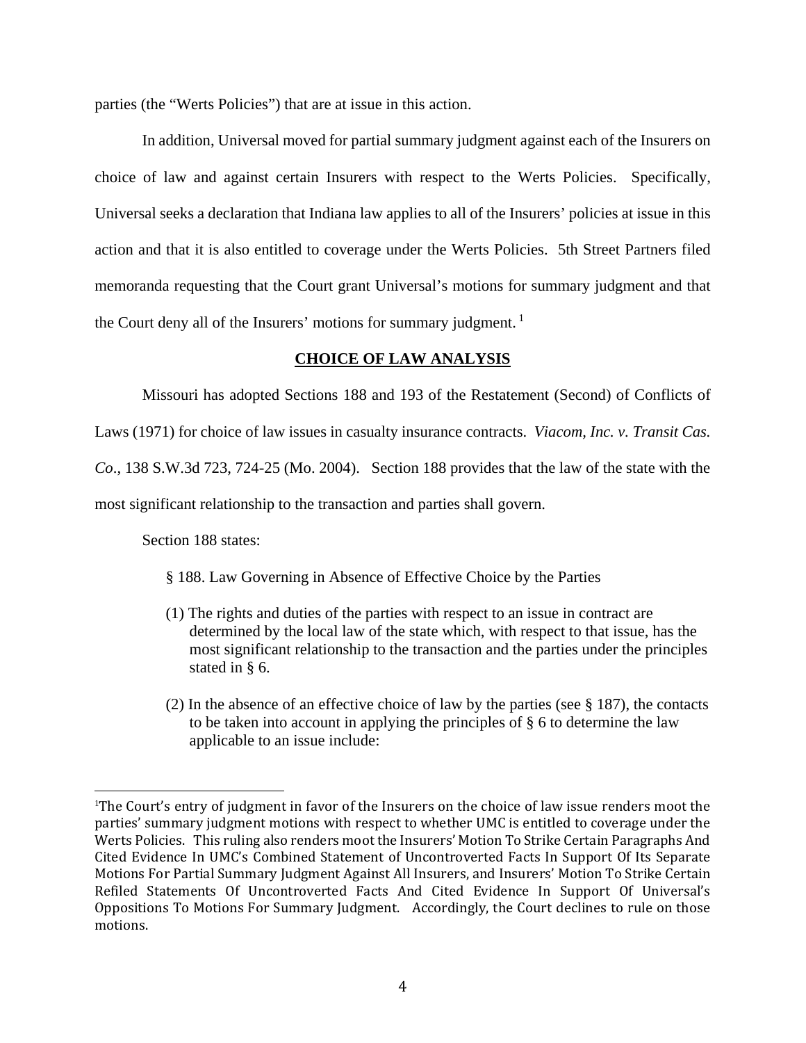parties (the "Werts Policies") that are at issue in this action.

In addition, Universal moved for partial summary judgment against each of the Insurers on choice of law and against certain Insurers with respect to the Werts Policies. Specifically, Universal seeks a declaration that Indiana law applies to all of the Insurers' policies at issue in this action and that it is also entitled to coverage under the Werts Policies. 5th Street Partners filed memoranda requesting that the Court grant Universal's motions for summary judgment and that the Court deny all of the Insurers' motions for summary judgment.<sup>1</sup>

# **CHOICE OF LAW ANALYSIS**

Missouri has adopted Sections 188 and 193 of the Restatement (Second) of Conflicts of

Laws (1971) for choice of law issues in casualty insurance contracts. *Viacom, Inc. v. Transit Cas.* 

*Co*., 138 S.W.3d 723, 724-25 (Mo. 2004). Section 188 provides that the law of the state with the

most significant relationship to the transaction and parties shall govern.

Section 188 states:

l

§ 188. Law Governing in Absence of Effective Choice by the Parties

- (1) The rights and duties of the parties with respect to an issue in contract are determined by the local law of the state which, with respect to that issue, has the most significant relationship to the transaction and the parties under the principles stated in § 6.
- (2) In the absence of an effective choice of law by the parties (see § 187), the contacts to be taken into account in applying the principles of § 6 to determine the law applicable to an issue include:

<sup>1</sup> The Court's entry of judgment in favor of the Insurers on the choice of law issue renders moot the parties' summary judgment motions with respect to whether UMC is entitled to coverage under the Werts Policies. This ruling also renders moot the Insurers' Motion To Strike Certain Paragraphs And Cited Evidence In UMC's Combined Statement of Uncontroverted Facts In Support Of Its Separate Motions For Partial Summary Judgment Against All Insurers, and Insurers' Motion To Strike Certain Refiled Statements Of Uncontroverted Facts And Cited Evidence In Support Of Universal's Oppositions To Motions For Summary Judgment. Accordingly, the Court declines to rule on those motions.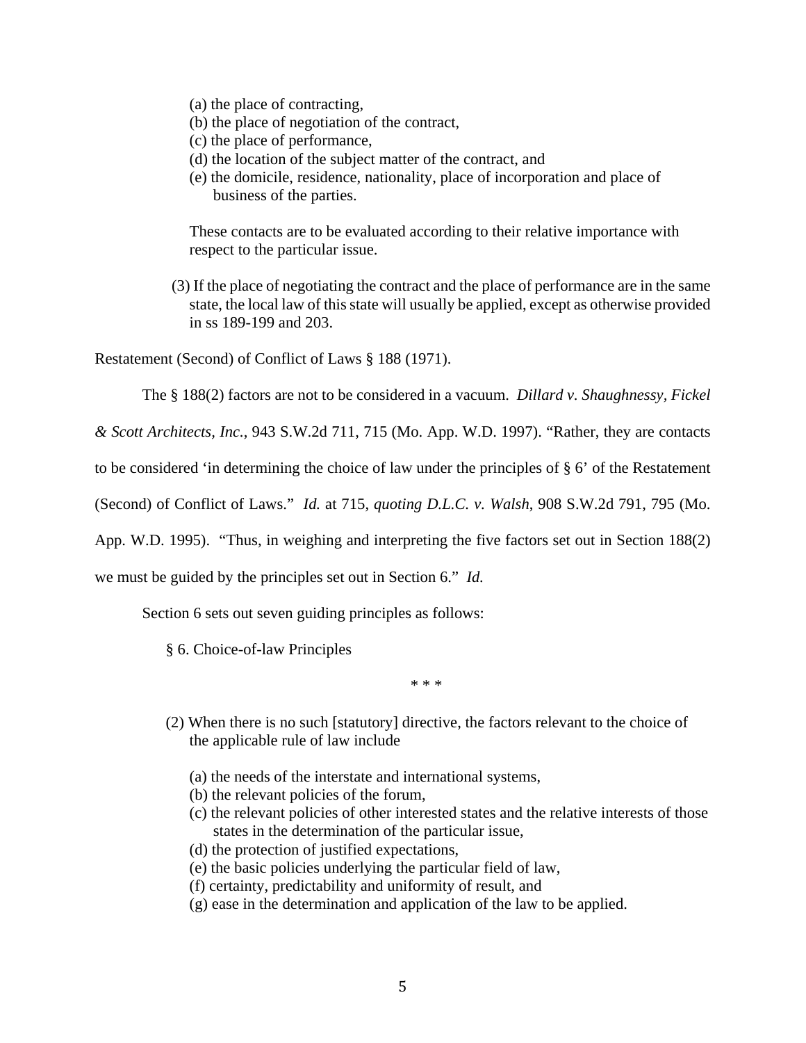- (a) the place of contracting,
- (b) the place of negotiation of the contract,
- (c) the place of performance,
- (d) the location of the subject matter of the contract, and
- (e) the domicile, residence, nationality, place of incorporation and place of business of the parties.

These contacts are to be evaluated according to their relative importance with respect to the particular issue.

(3) If the place of negotiating the contract and the place of performance are in the same state, the local law of this state will usually be applied, except as otherwise provided in ss 189-199 and 203.

Restatement (Second) of Conflict of Laws § 188 (1971).

The § 188(2) factors are not to be considered in a vacuum. *Dillard v. Shaughnessy, Fickel* 

*& Scott Architects, Inc.*, 943 S.W.2d 711, 715 (Mo. App. W.D. 1997). "Rather, they are contacts

to be considered 'in determining the choice of law under the principles of § 6' of the Restatement

(Second) of Conflict of Laws." *Id.* at 715, *quoting D.L.C. v. Walsh*, 908 S.W.2d 791, 795 (Mo.

App. W.D. 1995). "Thus, in weighing and interpreting the five factors set out in Section 188(2)

we must be guided by the principles set out in Section 6." *Id.*

Section 6 sets out seven guiding principles as follows:

§ 6. Choice-of-law Principles

\* \* \*

- (2) When there is no such [statutory] directive, the factors relevant to the choice of the applicable rule of law include
	- (a) the needs of the interstate and international systems,
	- (b) the relevant policies of the forum,
	- (c) the relevant policies of other interested states and the relative interests of those states in the determination of the particular issue,
	- (d) the protection of justified expectations,
	- (e) the basic policies underlying the particular field of law,
	- (f) certainty, predictability and uniformity of result, and
	- (g) ease in the determination and application of the law to be applied.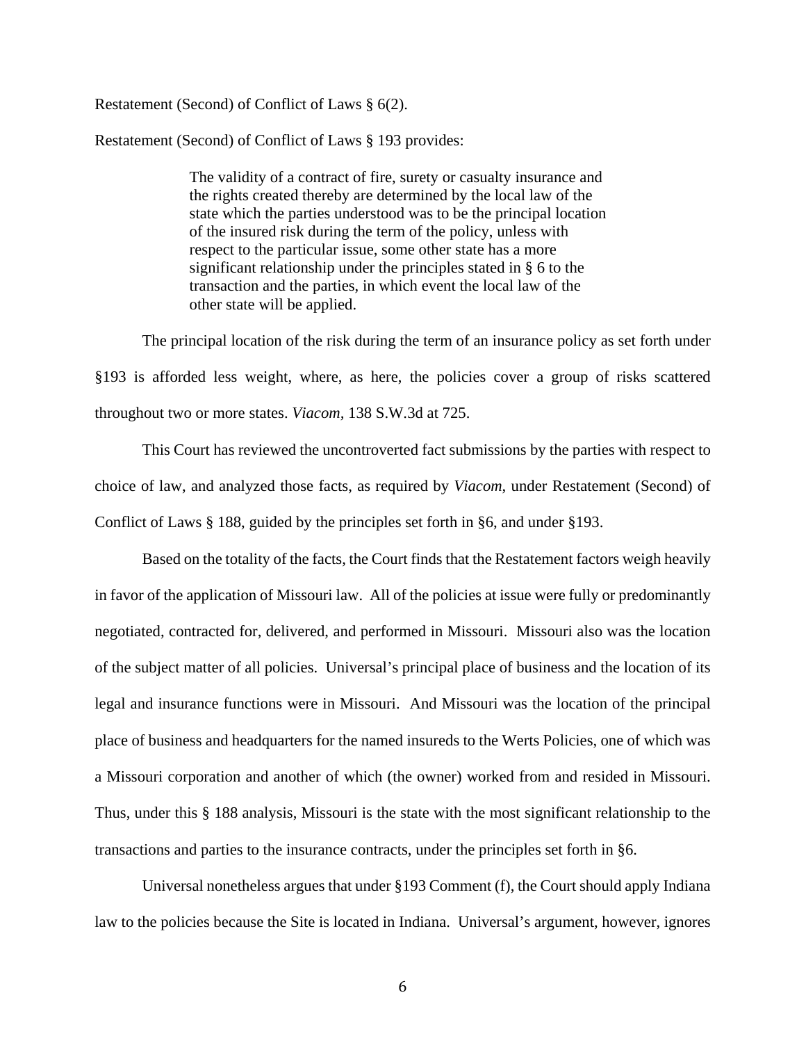### Restatement (Second) of Conflict of Laws § 6(2).

Restatement (Second) of Conflict of Laws § 193 provides:

The validity of a contract of fire, surety or casualty insurance and the rights created thereby are determined by the local law of the state which the parties understood was to be the principal location of the insured risk during the term of the policy, unless with respect to the particular issue, some other state has a more significant relationship under the principles stated in § 6 to the transaction and the parties, in which event the local law of the other state will be applied.

The principal location of the risk during the term of an insurance policy as set forth under §193 is afforded less weight, where, as here, the policies cover a group of risks scattered throughout two or more states. *Viacom,* 138 S.W.3d at 725.

This Court has reviewed the uncontroverted fact submissions by the parties with respect to choice of law, and analyzed those facts, as required by *Viacom*, under Restatement (Second) of Conflict of Laws § 188, guided by the principles set forth in §6, and under §193.

Based on the totality of the facts, the Court finds that the Restatement factors weigh heavily in favor of the application of Missouri law. All of the policies at issue were fully or predominantly negotiated, contracted for, delivered, and performed in Missouri. Missouri also was the location of the subject matter of all policies. Universal's principal place of business and the location of its legal and insurance functions were in Missouri. And Missouri was the location of the principal place of business and headquarters for the named insureds to the Werts Policies, one of which was a Missouri corporation and another of which (the owner) worked from and resided in Missouri. Thus, under this § 188 analysis, Missouri is the state with the most significant relationship to the transactions and parties to the insurance contracts, under the principles set forth in §6.

Universal nonetheless argues that under §193 Comment (f), the Court should apply Indiana law to the policies because the Site is located in Indiana. Universal's argument, however, ignores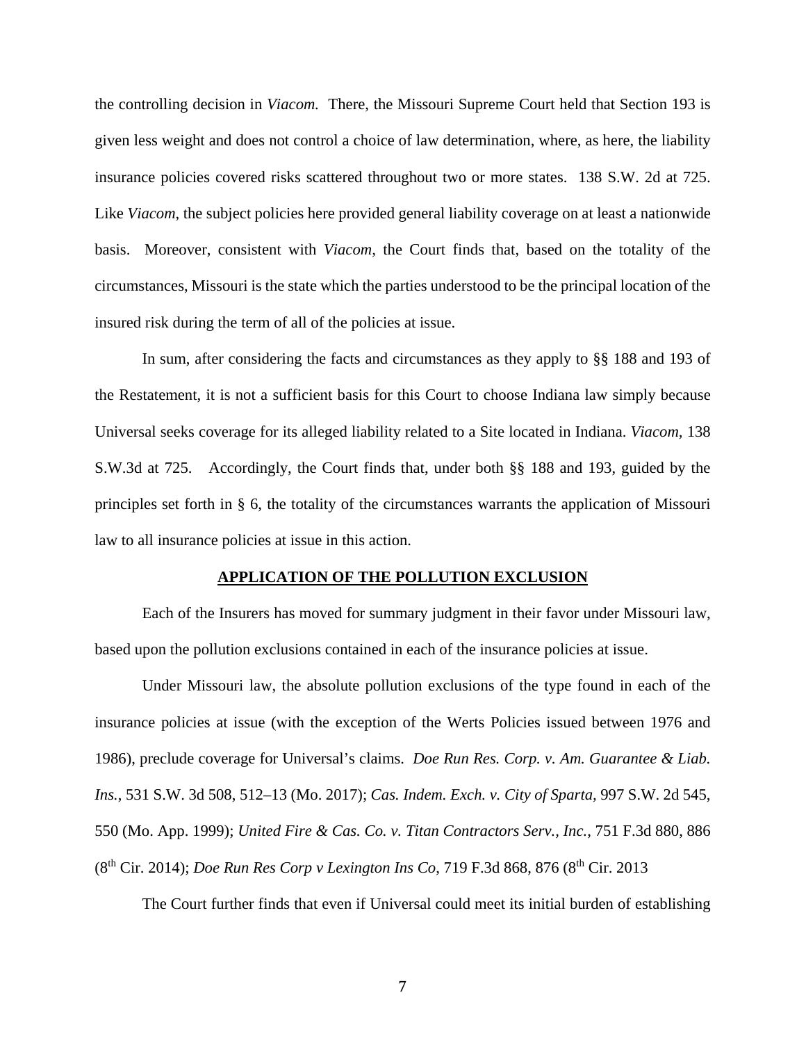the controlling decision in *Viacom.* There, the Missouri Supreme Court held that Section 193 is given less weight and does not control a choice of law determination, where, as here, the liability insurance policies covered risks scattered throughout two or more states. 138 S.W. 2d at 725. Like *Viacom*, the subject policies here provided general liability coverage on at least a nationwide basis. Moreover, consistent with *Viacom,* the Court finds that, based on the totality of the circumstances, Missouri is the state which the parties understood to be the principal location of the insured risk during the term of all of the policies at issue.

In sum, after considering the facts and circumstances as they apply to §§ 188 and 193 of the Restatement, it is not a sufficient basis for this Court to choose Indiana law simply because Universal seeks coverage for its alleged liability related to a Site located in Indiana. *Viacom,* 138 S.W.3d at 725. Accordingly, the Court finds that, under both §§ 188 and 193, guided by the principles set forth in § 6, the totality of the circumstances warrants the application of Missouri law to all insurance policies at issue in this action.

### **APPLICATION OF THE POLLUTION EXCLUSION**

Each of the Insurers has moved for summary judgment in their favor under Missouri law, based upon the pollution exclusions contained in each of the insurance policies at issue.

Under Missouri law, the absolute pollution exclusions of the type found in each of the insurance policies at issue (with the exception of the Werts Policies issued between 1976 and 1986), preclude coverage for Universal's claims. *Doe Run Res. Corp. v. Am. Guarantee & Liab. Ins.*, 531 S.W. 3d 508, 512–13 (Mo. 2017); *Cas. Indem. Exch. v. City of Sparta,* 997 S.W. 2d 545, 550 (Mo. App. 1999); *United Fire & Cas. Co. v. Titan Contractors Serv., Inc.*, 751 F.3d 880, 886 (8th Cir. 2014); *Doe Run Res Corp v Lexington Ins Co*, 719 F.3d 868, 876 (8th Cir. 2013

The Court further finds that even if Universal could meet its initial burden of establishing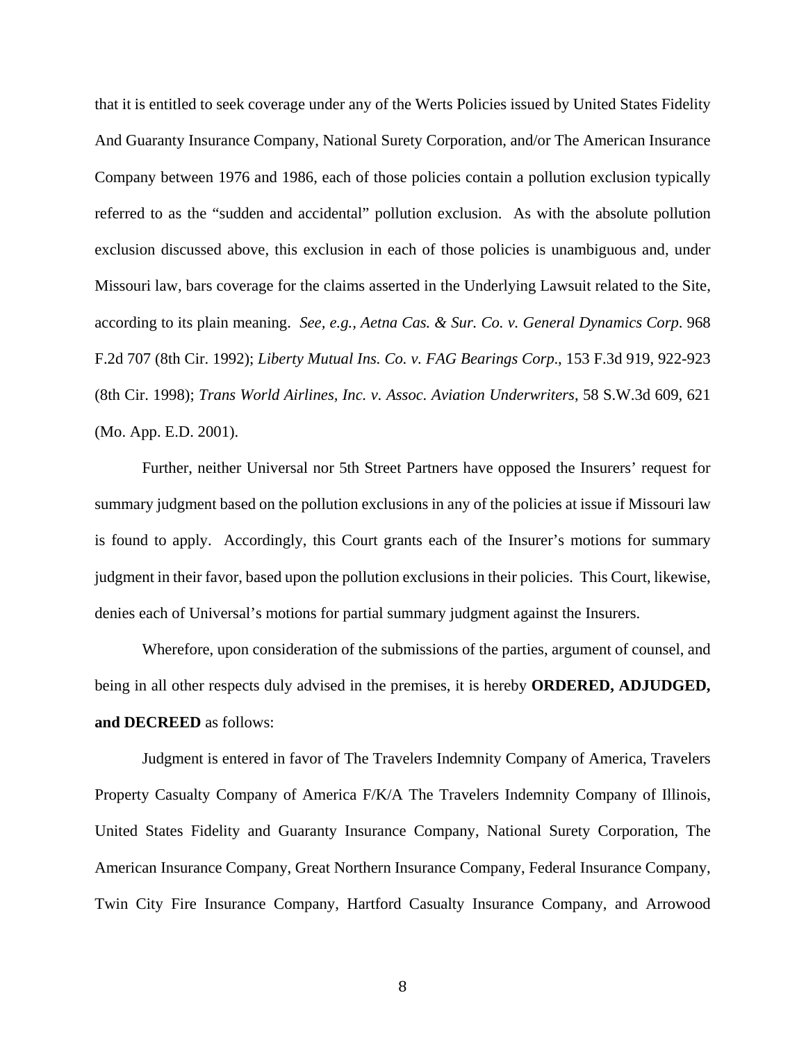that it is entitled to seek coverage under any of the Werts Policies issued by United States Fidelity And Guaranty Insurance Company, National Surety Corporation, and/or The American Insurance Company between 1976 and 1986, each of those policies contain a pollution exclusion typically referred to as the "sudden and accidental" pollution exclusion. As with the absolute pollution exclusion discussed above, this exclusion in each of those policies is unambiguous and, under Missouri law, bars coverage for the claims asserted in the Underlying Lawsuit related to the Site, according to its plain meaning. *See, e.g., Aetna Cas. & Sur. Co. v. General Dynamics Corp*. 968 F.2d 707 (8th Cir. 1992); *Liberty Mutual Ins. Co. v. FAG Bearings Corp*., 153 F.3d 919, 922-923 (8th Cir. 1998); *Trans World Airlines, Inc. v. Assoc. Aviation Underwriters*, 58 S.W.3d 609, 621 (Mo. App. E.D. 2001).

Further, neither Universal nor 5th Street Partners have opposed the Insurers' request for summary judgment based on the pollution exclusions in any of the policies at issue if Missouri law is found to apply. Accordingly, this Court grants each of the Insurer's motions for summary judgment in their favor, based upon the pollution exclusions in their policies. This Court, likewise, denies each of Universal's motions for partial summary judgment against the Insurers.

Wherefore, upon consideration of the submissions of the parties, argument of counsel, and being in all other respects duly advised in the premises, it is hereby **ORDERED, ADJUDGED, and DECREED** as follows:

Judgment is entered in favor of The Travelers Indemnity Company of America, Travelers Property Casualty Company of America F/K/A The Travelers Indemnity Company of Illinois, United States Fidelity and Guaranty Insurance Company, National Surety Corporation, The American Insurance Company, Great Northern Insurance Company, Federal Insurance Company, Twin City Fire Insurance Company, Hartford Casualty Insurance Company, and Arrowood